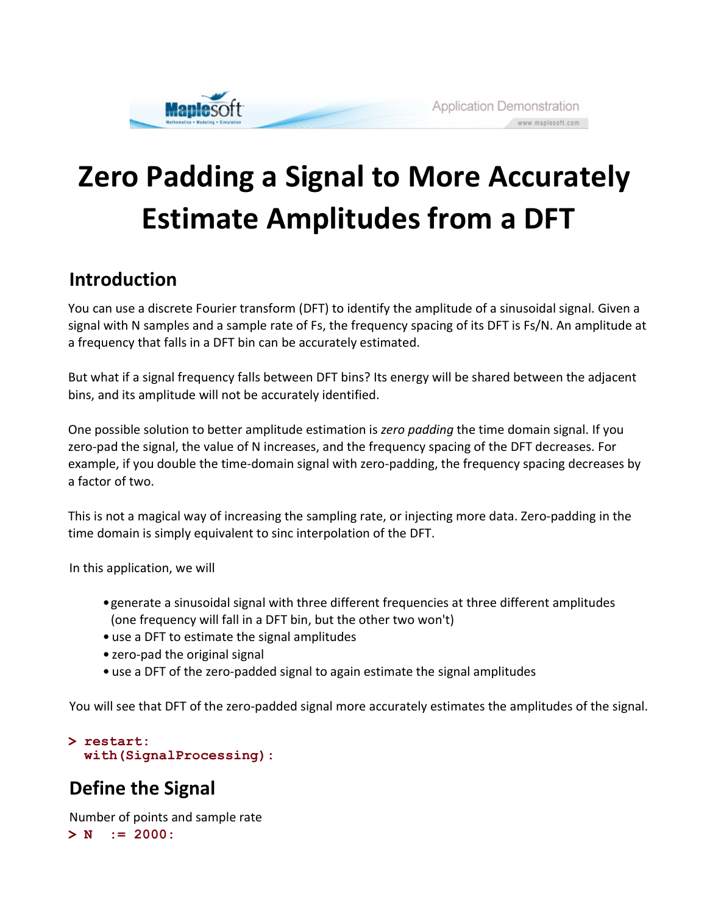

# Zero Padding a Signal to More Accurately Estimate Amplitudes from a DFT

### Introduction

You can use a discrete Fourier transform (DFT) to identify the amplitude of a sinusoidal signal. Given a signal with N samples and a sample rate of Fs, the frequency spacing of its DFT is Fs/N. An amplitude at a frequency that falls in a DFT bin can be accurately estimated.

But what if a signal frequency falls between DFT bins? Its energy will be shared between the adjacent bins, and its amplitude will not be accurately identified.

One possible solution to better amplitude estimation is *zero padding* the time domain signal. If you zero-pad the signal, the value of N increases, and the frequency spacing of the DFT decreases. For example, if you double the time-domain signal with zero-padding, the frequency spacing decreases by a factor of two.

This is not a magical way of increasing the sampling rate, or injecting more data. Zero-padding in the time domain is simply equivalent to sinc interpolation of the DFT.

In this application, we will

- generate a sinusoidal signal with three different frequencies at three different amplitudes (one frequency will fall in a DFT bin, but the other two won't)
- use a DFT to estimate the signal amplitudes
- zero-pad the original signal
- use a DFT of the zero-padded signal to again estimate the signal amplitudes

You will see that DFT of the zero-padded signal more accurately estimates the amplitudes of the signal.

```
> 
restart:
 with(SignalProcessing):
```
## Define the Signal

Number of points and sample rate

```
> N := 2000:
```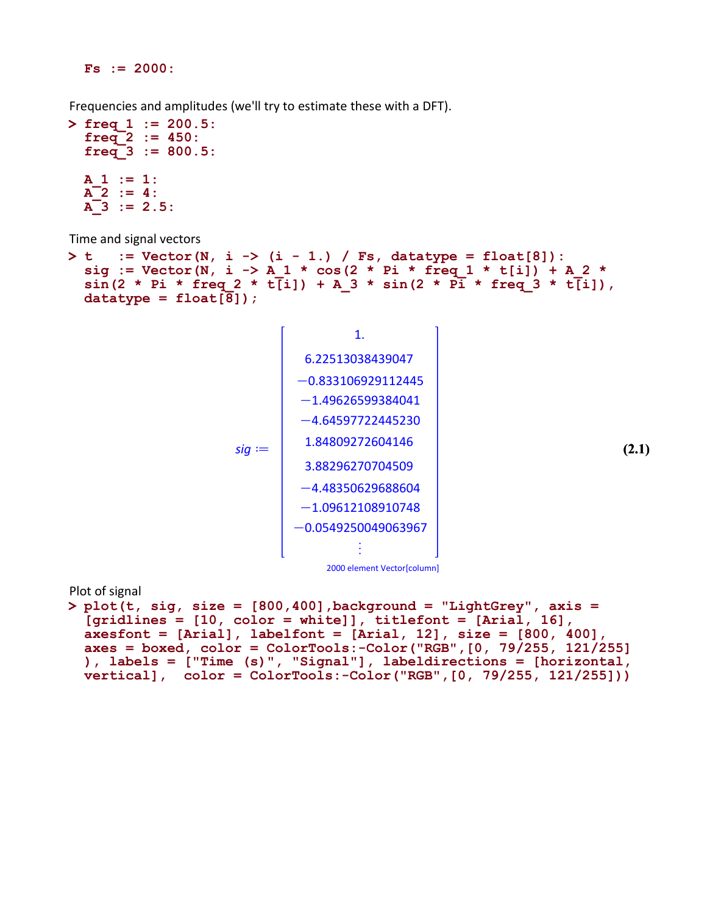$Fs := 2000:$ 

Frequencies and amplitudes (we'll try to estimate these with a DFT).

```
> 
freq_1 := 200.5:
 freq 2 := 450:
  freq^-3 := 800.5:A_1 := 1:A^{-2} := 4:
 A^{-}3 := 2.5:
```
Time and signal vectors

```
> t := Vector(N, i -> (i - 1.) / Fs, datatype = float[8]):
 sig := Vector(N, i -> A 1 * cos(2 * Pi * freq 1 * t[i]) + A 2 *
 sin(2 * Pi * freq 2 * t[i]) + A 3 * sin(2 * Pi * freq 3 * t[i]),datatype = float[8];
```


Plot of signal

```
> 
plot(t, sig, size = [800,400],background = "LightGrey", axis = 
 [gridlines = [10, color = white]], titlefont = [Arial, 16],
 axesfont = [Arial], labelfont = [Arial, 12], size = [800, 400],
 axes = boxed, color = ColorTools:-Color("RGB", [0, 79/255, 121/255]), labels = ["Time (s)", "Signal"], labeldirections = [horizontal,
 vertical], color = ColorTools:-Color("RGB",[0, 79/255, 121/255]))
```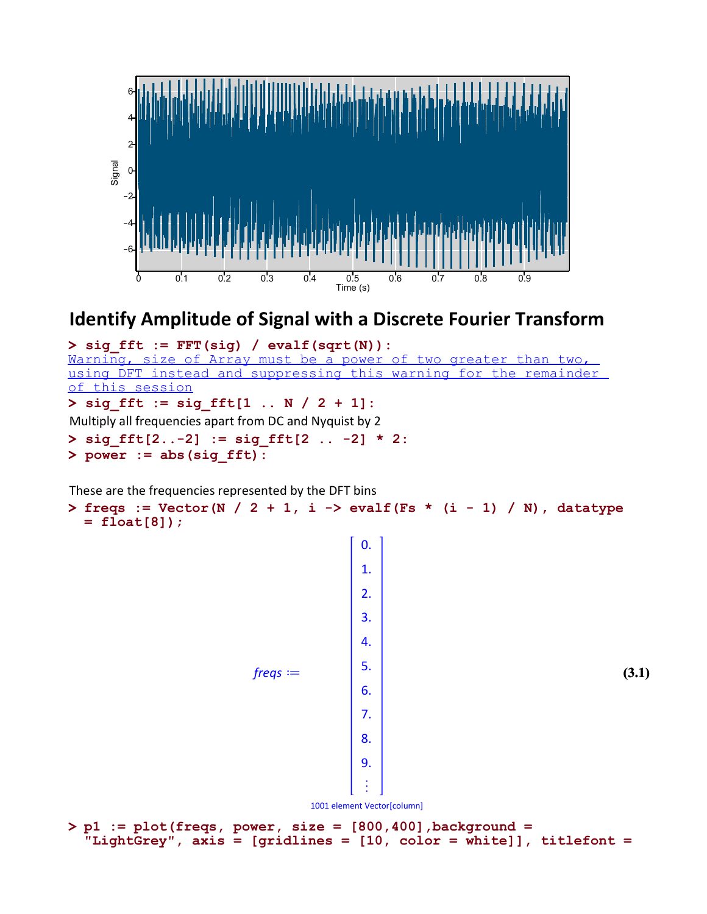

#### Identify Amplitude of Signal with a Discrete Fourier Transform

> sig\_fft := sig\_fft[1 .. N / 2 + 1]: > sig\_fft[2..-2] := sig\_fft[2 .. -2] \* 2: > sig\_fft := FFT(sig) / evalf(sqrt(N)): Marning, size of Array must be a power of two greater than two, using DFT instead and suppressing this warning for the remainder of this session Multiply all frequencies apart from DC and Nyquist by 2

> power := abs(sig\_fft):

These are the frequencies represented by the DFT bins

```
> 
freqs := Vector(N / 2 + 1, i -> evalf(Fs * (i - 1) / N), datatype 
 = float[8]);
```
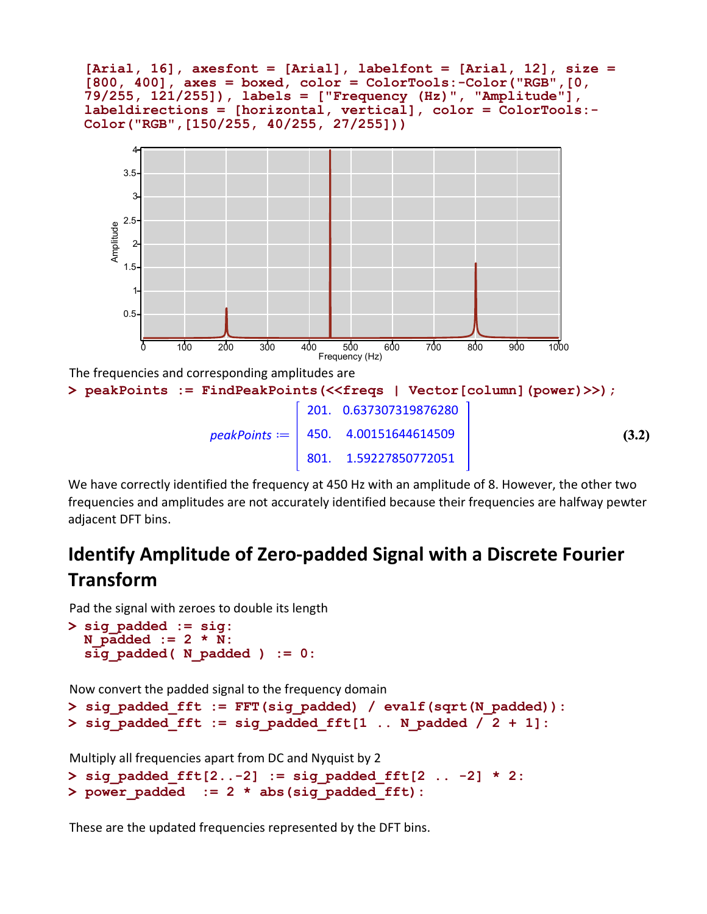



We have correctly identified the frequency at 450 Hz with an amplitude of 8. However, the other two frequencies and amplitudes are not accurately identified because their frequencies are halfway pewter adjacent DFT bins.

## Identify Amplitude of Zero-padded Signal with a Discrete Fourier Transform

Pad the signal with zeroes to double its length

```
> 
sig_padded := sig:
 N padded := 2 * N:
  s\bar{ig} padded( N padded) := 0:
```
Now convert the padded signal to the frequency domain

```
> 
sig_padded_fft := FFT(sig_padded) / evalf(sqrt(N_padded)):
> 
sig_padded_fft := sig_padded_fft[1 .. N_padded / 2 + 1]:
```
Multiply all frequencies apart from DC and Nyquist by 2

```
> 
power_padded := 2 * abs(sig_padded_fft):
> 
sig_padded_fft[2..-2] := sig_padded_fft[2 .. -2] * 2:
```
These are the updated frequencies represented by the DFT bins.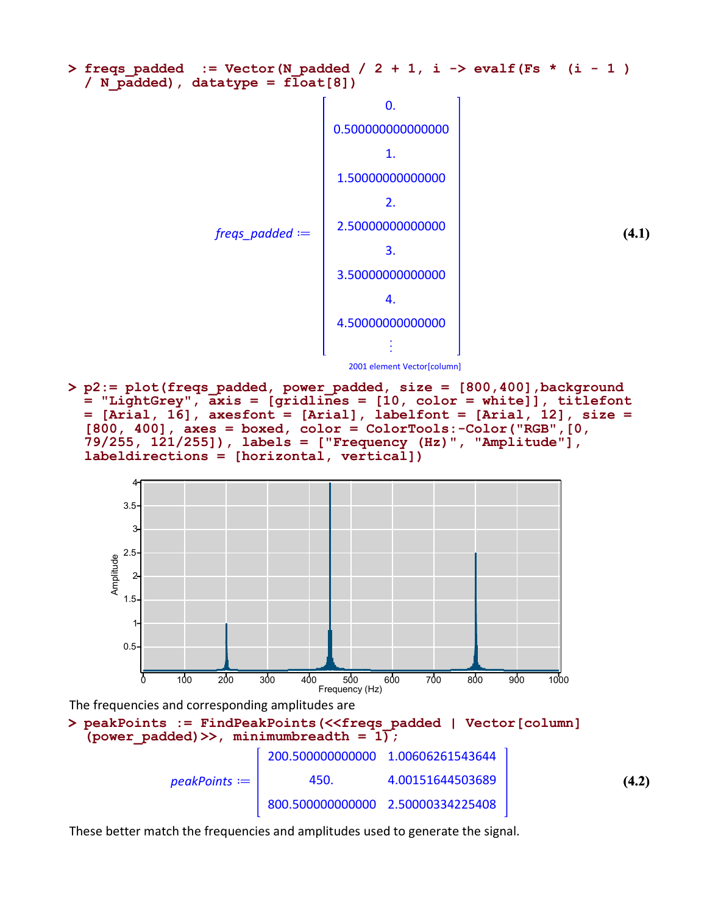

> p2:= plot(freqs\_padded, power\_padded, size = [800,400],background = "LightGrey", axis = [gridlines = [10, color = white]], titlefont = [Arial, 16], axesfont = [Arial], labelfont = [Arial, 12], size =  $[800, 400]$ , axes = boxed, color = ColorTools:-Color("RGB", $[0, 10]$ 79/255, 121/255]), labels = ["Frequency (Hz)", "Amplitude"], labeldirections = [horizontal, vertical])



| $peakPoints :=  $ | 450.                              | 4.00151644503689 | (4.2) |
|-------------------|-----------------------------------|------------------|-------|
|                   | 800.500000000000 2.50000334225408 |                  |       |

These better match the frequencies and amplitudes used to generate the signal.